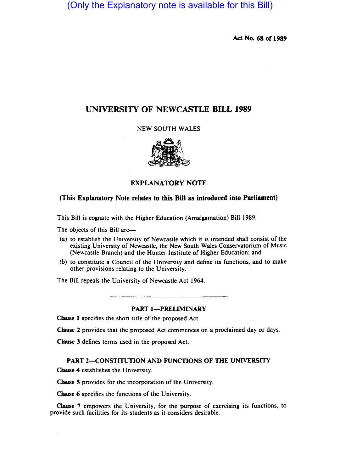(Only the Explanatory note is available for this Bill)

Act No. 68 or 1989

# UNIVERSITY OF NEWCASTLE BILL 1989

NEW SOUTH WALES



### EXPLANATORY NOTE

### (This Explanatory Note relates to this Bill as introduced into Parliament)

This Bill is cognate with the Higher Education (Amalgamation) Bill 1989.

The objects of this Bill are—

- (a) to establish the University of Newcastle which it is intended shall consist of the existing University of Newcastle, the New South Wales Conservatorium of Music (Newcastle Branch) and the Hunter Institute of Higher Education; and
- (b) to constitute a Council of the University and define its functions, and to make other provisions relating to the University.

The Bill repeals the University of Newcastle Act 1964.

#### PART 1-PRELIMINARY

Clause 1 specifies the short title of the proposed Act.

Clause 2 provides that the proposed Act commences on a proclaimed day or days.

Clause 3 defines terms used in the proposed Act.

### PART 2-CONSTITUTION AND FUNCTIONS OF THE UNIVERSITY

Clause 4 establishes the University.

Clause 5 provides for the incorporation of the University.

Clause 6 specifies the functions of the University.

Clause 7 empowers the University, for the purpose of exercising its functions, to provide such facilities for its students as it considers desirable.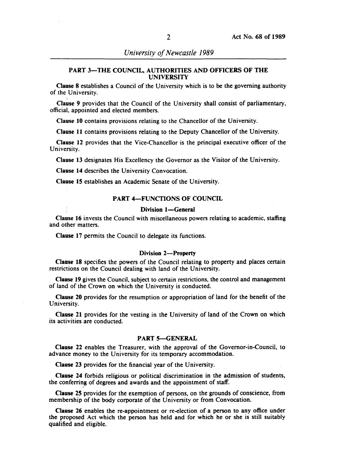### PART 3-THE COUNCIL, AUTHORITIES AND OFFICERS OF THE UNIVERSITY

Clause 8 establishes a Council of the University which is to be the governing authority of the University.

Clause 9 provides that the Council of the University shall consist of parliamentary, official. appointed and elected members.

Clause 10 contains provisions relating to the Chancellor of the University.

Clause 11 contains provisions relating to the Deputy Chancellor of the University.

Clause 12 provides that the Vice-Chancellor is the principal executive officer of the University.

Clause 13 designates His Excellency the Governor as the Visitor of the University.

Clause 14 describes the University Convocation.

Clause 15 establishes an Academic Senate of the University.

#### PART 4-FUNCTIONS OF COUNCIL

#### Division 1-General

Clause 16 invests the Council with miscellaneous powers relating to academic, staffing and other matters.

Clause 17 permits the Council to delegate its functions.

#### Division 2-Property

Clause 18 specifies the powers of the Council relating to property and places certain restrictions on the Council dealing with land of the University.

Clause 19 gives the Council, subject to certain restrictions, the control and management of land of the Crown on which the University is conducted.

Clause 20 provides for the resumption or appropriation of land for the benefit of the University.

Clause 21 provides for the vesting in the University of land of the Crown on which its activities are conducted.

#### PART 5-GENERAL

Clause 22 enables the Treasurer, with the approval of the Governor-in-Council, to advance money to the University for its temporary accommodation.

Clause 23 provides for the financial year of the University.

Clause 24 forbids religious or political discrimination in the admission of students, the conferring of degrees and awards and the appointment of staff.

Clause 25 provides for the exemption of persons, on the grounds of conscience, from membership of the body corporate of the University or from Convocation.

Clause 26 enables the re-appointment or re-election of a person to any office under the proposed Act which the person has held and for which he or she is still suitably qualified and eligible.